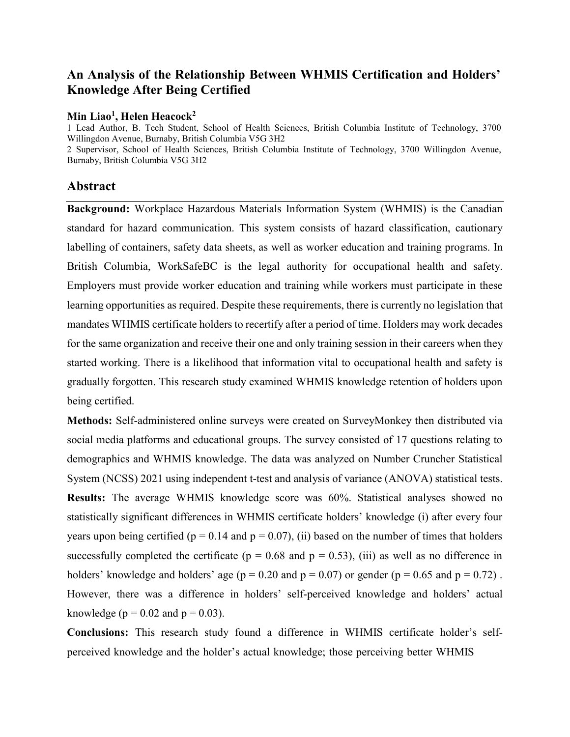# **An Analysis of the Relationship Between WHMIS Certification and Holders' Knowledge After Being Certified**

#### **Min Liao<sup>1</sup> , Helen Heacock<sup>2</sup>**

1 Lead Author, B. Tech Student, School of Health Sciences, British Columbia Institute of Technology, 3700 Willingdon Avenue, Burnaby, British Columbia V5G 3H2 2 Supervisor, School of Health Sciences, British Columbia Institute of Technology, 3700 Willingdon Avenue, Burnaby, British Columbia V5G 3H2

#### **Abstract**

**Background:** Workplace Hazardous Materials Information System (WHMIS) is the Canadian standard for hazard communication. This system consists of hazard classification, cautionary labelling of containers, safety data sheets, as well as worker education and training programs. In British Columbia, WorkSafeBC is the legal authority for occupational health and safety. Employers must provide worker education and training while workers must participate in these learning opportunities as required. Despite these requirements, there is currently no legislation that mandates WHMIS certificate holders to recertify after a period of time. Holders may work decades for the same organization and receive their one and only training session in their careers when they started working. There is a likelihood that information vital to occupational health and safety is gradually forgotten. This research study examined WHMIS knowledge retention of holders upon being certified.

**Methods:** Self-administered online surveys were created on SurveyMonkey then distributed via social media platforms and educational groups. The survey consisted of 17 questions relating to demographics and WHMIS knowledge. The data was analyzed on Number Cruncher Statistical System (NCSS) 2021 using independent t-test and analysis of variance (ANOVA) statistical tests. **Results:** The average WHMIS knowledge score was 60%. Statistical analyses showed no statistically significant differences in WHMIS certificate holders' knowledge (i) after every four years upon being certified ( $p = 0.14$  and  $p = 0.07$ ), (ii) based on the number of times that holders successfully completed the certificate ( $p = 0.68$  and  $p = 0.53$ ), (iii) as well as no difference in holders' knowledge and holders' age ( $p = 0.20$  and  $p = 0.07$ ) or gender ( $p = 0.65$  and  $p = 0.72$ ). However, there was a difference in holders' self-perceived knowledge and holders' actual knowledge ( $p = 0.02$  and  $p = 0.03$ ).

**Conclusions:** This research study found a difference in WHMIS certificate holder's selfperceived knowledge and the holder's actual knowledge; those perceiving better WHMIS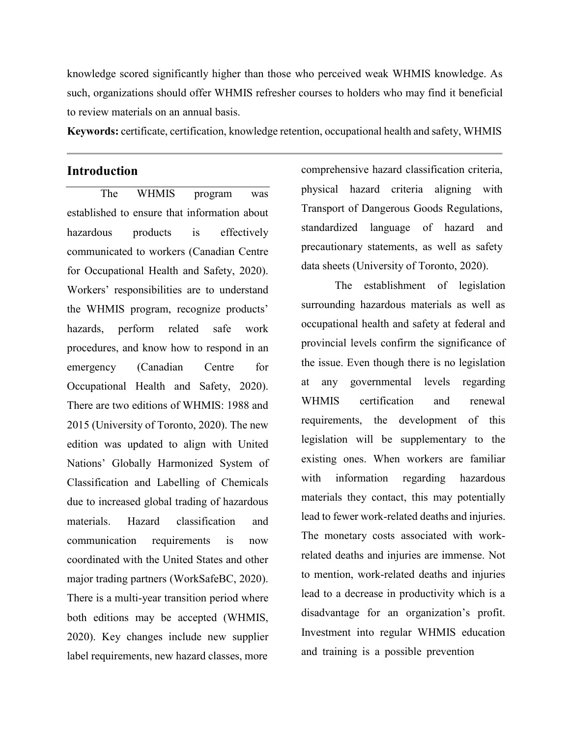knowledge scored significantly higher than those who perceived weak WHMIS knowledge. As such, organizations should offer WHMIS refresher courses to holders who may find it beneficial to review materials on an annual basis.

**Keywords:** certificate, certification, knowledge retention, occupational health and safety, WHMIS

# **Introduction**

The WHMIS program was established to ensure that information about hazardous products is effectively communicated to workers (Canadian Centre for Occupational Health and Safety, 2020). Workers' responsibilities are to understand the WHMIS program, recognize products' hazards, perform related safe work procedures, and know how to respond in an emergency (Canadian Centre for Occupational Health and Safety, 2020). There are two editions of WHMIS: 1988 and 2015 (University of Toronto, 2020). The new edition was updated to align with United Nations' Globally Harmonized System of Classification and Labelling of Chemicals due to increased global trading of hazardous materials. Hazard classification and communication requirements is now coordinated with the United States and other major trading partners (WorkSafeBC, 2020). There is a multi-year transition period where both editions may be accepted (WHMIS, 2020). Key changes include new supplier label requirements, new hazard classes, more

comprehensive hazard classification criteria, physical hazard criteria aligning with Transport of Dangerous Goods Regulations, standardized language of hazard and precautionary statements, as well as safety data sheets (University of Toronto, 2020).

The establishment of legislation surrounding hazardous materials as well as occupational health and safety at federal and provincial levels confirm the significance of the issue. Even though there is no legislation at any governmental levels regarding WHMIS certification and renewal requirements, the development of this legislation will be supplementary to the existing ones. When workers are familiar with information regarding hazardous materials they contact, this may potentially lead to fewer work-related deaths and injuries. The monetary costs associated with workrelated deaths and injuries are immense. Not to mention, work-related deaths and injuries lead to a decrease in productivity which is a disadvantage for an organization's profit. Investment into regular WHMIS education and training is a possible prevention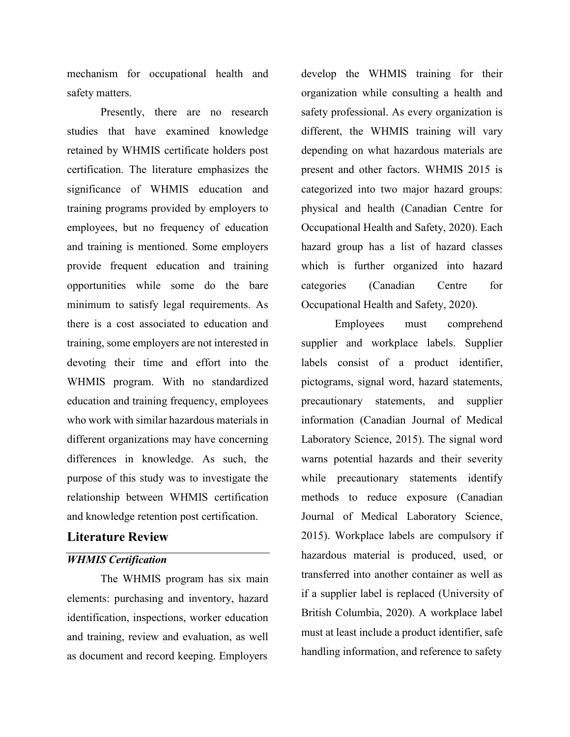mechanism for occupational health and safety matters.

Presently, there are no research studies that have examined knowledge retained by WHMIS certificate holders post certification. The literature emphasizes the significance of WHMIS education and training programs provided by employers to employees, but no frequency of education and training is mentioned. Some employers provide frequent education and training opportunities while some do the bare minimum to satisfy legal requirements. As there is a cost associated to education and training, some employers are not interested in devoting their time and effort into the WHMIS program. With no standardized education and training frequency, employees who work with similar hazardous materials in different organizations may have concerning differences in knowledge. As such, the purpose of this study was to investigate the relationship between WHMIS certification and knowledge retention post certification.

## **Literature Review**

## *WHMIS Certification*

The WHMIS program has six main elements: purchasing and inventory, hazard identification, inspections, worker education and training, review and evaluation, as well as document and record keeping. Employers

develop the WHMIS training for their organization while consulting a health and safety professional. As every organization is different, the WHMIS training will vary depending on what hazardous materials are present and other factors. WHMIS 2015 is categorized into two major hazard groups: physical and health (Canadian Centre for Occupational Health and Safety, 2020). Each hazard group has a list of hazard classes which is further organized into hazard categories (Canadian Centre for Occupational Health and Safety, 2020).

Employees must comprehend supplier and workplace labels. Supplier labels consist of a product identifier, pictograms, signal word, hazard statements, precautionary statements, and supplier information (Canadian Journal of Medical Laboratory Science, 2015). The signal word warns potential hazards and their severity while precautionary statements identify methods to reduce exposure (Canadian Journal of Medical Laboratory Science, 2015). Workplace labels are compulsory if hazardous material is produced, used, or transferred into another container as well as if a supplier label is replaced (University of British Columbia, 2020). A workplace label must at least include a product identifier, safe handling information, and reference to safety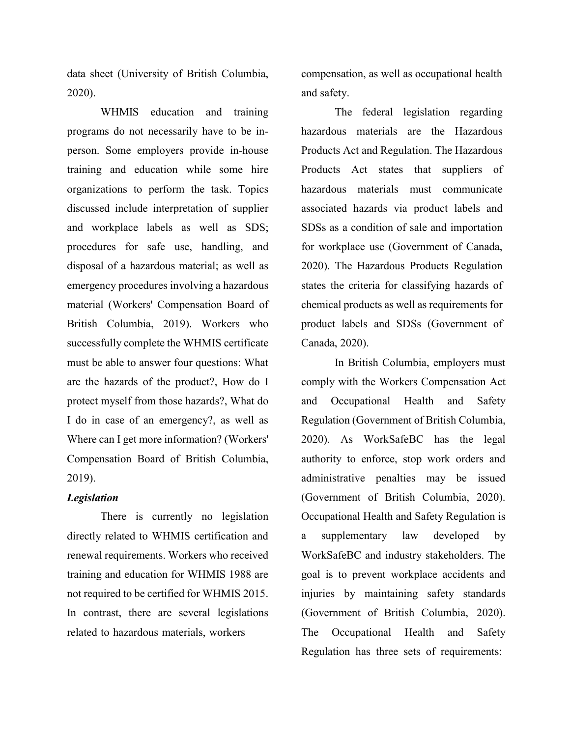data sheet (University of British Columbia, 2020).

WHMIS education and training programs do not necessarily have to be inperson. Some employers provide in-house training and education while some hire organizations to perform the task. Topics discussed include interpretation of supplier and workplace labels as well as SDS; procedures for safe use, handling, and disposal of a hazardous material; as well as emergency procedures involving a hazardous material (Workers' Compensation Board of British Columbia, 2019). Workers who successfully complete the WHMIS certificate must be able to answer four questions: What are the hazards of the product?, How do I protect myself from those hazards?, What do I do in case of an emergency?, as well as Where can I get more information? (Workers' Compensation Board of British Columbia, 2019).

#### *Legislation*

There is currently no legislation directly related to WHMIS certification and renewal requirements. Workers who received training and education for WHMIS 1988 are not required to be certified for WHMIS 2015. In contrast, there are several legislations related to hazardous materials, workers

compensation, as well as occupational health and safety.

The federal legislation regarding hazardous materials are the Hazardous Products Act and Regulation. The Hazardous Products Act states that suppliers of hazardous materials must communicate associated hazards via product labels and SDSs as a condition of sale and importation for workplace use (Government of Canada, 2020). The Hazardous Products Regulation states the criteria for classifying hazards of chemical products as well as requirements for product labels and SDSs (Government of Canada, 2020).

In British Columbia, employers must comply with the Workers Compensation Act and Occupational Health and Safety Regulation (Government of British Columbia, 2020). As WorkSafeBC has the legal authority to enforce, stop work orders and administrative penalties may be issued (Government of British Columbia, 2020). Occupational Health and Safety Regulation is a supplementary law developed by WorkSafeBC and industry stakeholders. The goal is to prevent workplace accidents and injuries by maintaining safety standards (Government of British Columbia, 2020). The Occupational Health and Safety Regulation has three sets of requirements: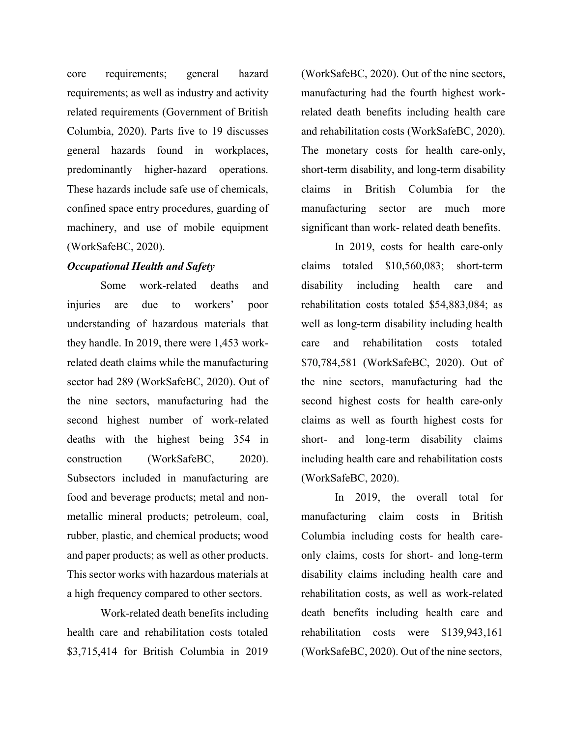core requirements; general hazard requirements; as well as industry and activity related requirements (Government of British Columbia, 2020). Parts five to 19 discusses general hazards found in workplaces, predominantly higher-hazard operations. These hazards include safe use of chemicals, confined space entry procedures, guarding of machinery, and use of mobile equipment (WorkSafeBC, 2020).

#### *Occupational Health and Safety*

Some work-related deaths and injuries are due to workers' poor understanding of hazardous materials that they handle. In 2019, there were 1,453 workrelated death claims while the manufacturing sector had 289 (WorkSafeBC, 2020). Out of the nine sectors, manufacturing had the second highest number of work-related deaths with the highest being 354 in construction (WorkSafeBC, 2020). Subsectors included in manufacturing are food and beverage products; metal and nonmetallic mineral products; petroleum, coal, rubber, plastic, and chemical products; wood and paper products; as well as other products. This sector works with hazardous materials at a high frequency compared to other sectors.

Work-related death benefits including health care and rehabilitation costs totaled \$3,715,414 for British Columbia in 2019

(WorkSafeBC, 2020). Out of the nine sectors, manufacturing had the fourth highest workrelated death benefits including health care and rehabilitation costs (WorkSafeBC, 2020). The monetary costs for health care-only, short-term disability, and long-term disability claims in British Columbia for the manufacturing sector are much more significant than work- related death benefits.

In 2019, costs for health care-only claims totaled \$10,560,083; short-term disability including health care and rehabilitation costs totaled \$54,883,084; as well as long-term disability including health care and rehabilitation costs totaled \$70,784,581 (WorkSafeBC, 2020). Out of the nine sectors, manufacturing had the second highest costs for health care-only claims as well as fourth highest costs for short- and long-term disability claims including health care and rehabilitation costs (WorkSafeBC, 2020).

In 2019, the overall total for manufacturing claim costs in British Columbia including costs for health careonly claims, costs for short- and long-term disability claims including health care and rehabilitation costs, as well as work-related death benefits including health care and rehabilitation costs were \$139,943,161 (WorkSafeBC, 2020). Out of the nine sectors,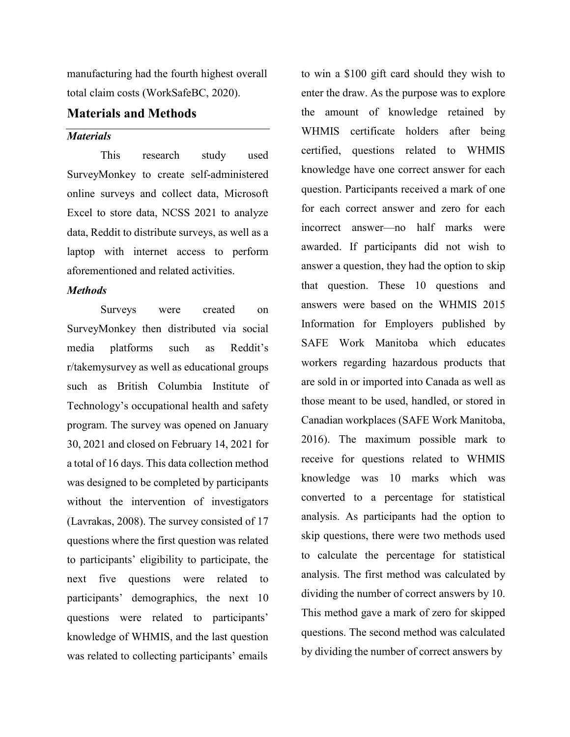manufacturing had the fourth highest overall total claim costs (WorkSafeBC, 2020).

## **Materials and Methods**

#### *Materials*

This research study used SurveyMonkey to create self-administered online surveys and collect data, Microsoft Excel to store data, NCSS 2021 to analyze data, Reddit to distribute surveys, as well as a laptop with internet access to perform aforementioned and related activities.

#### *Methods*

Surveys were created on SurveyMonkey then distributed via social media platforms such as Reddit's r/takemysurvey as well as educational groups such as British Columbia Institute of Technology's occupational health and safety program. The survey was opened on January 30, 2021 and closed on February 14, 2021 for a total of 16 days. This data collection method was designed to be completed by participants without the intervention of investigators (Lavrakas, 2008). The survey consisted of 17 questions where the first question was related to participants' eligibility to participate, the next five questions were related to participants' demographics, the next 10 questions were related to participants' knowledge of WHMIS, and the last question was related to collecting participants' emails

to win a \$100 gift card should they wish to enter the draw. As the purpose was to explore the amount of knowledge retained by WHMIS certificate holders after being certified, questions related to WHMIS knowledge have one correct answer for each question. Participants received a mark of one for each correct answer and zero for each incorrect answer—no half marks were awarded. If participants did not wish to answer a question, they had the option to skip that question. These 10 questions and answers were based on the WHMIS 2015 Information for Employers published by SAFE Work Manitoba which educates workers regarding hazardous products that are sold in or imported into Canada as well as those meant to be used, handled, or stored in Canadian workplaces (SAFE Work Manitoba, 2016). The maximum possible mark to receive for questions related to WHMIS knowledge was 10 marks which was converted to a percentage for statistical analysis. As participants had the option to skip questions, there were two methods used to calculate the percentage for statistical analysis. The first method was calculated by dividing the number of correct answers by 10. This method gave a mark of zero for skipped questions. The second method was calculated by dividing the number of correct answers by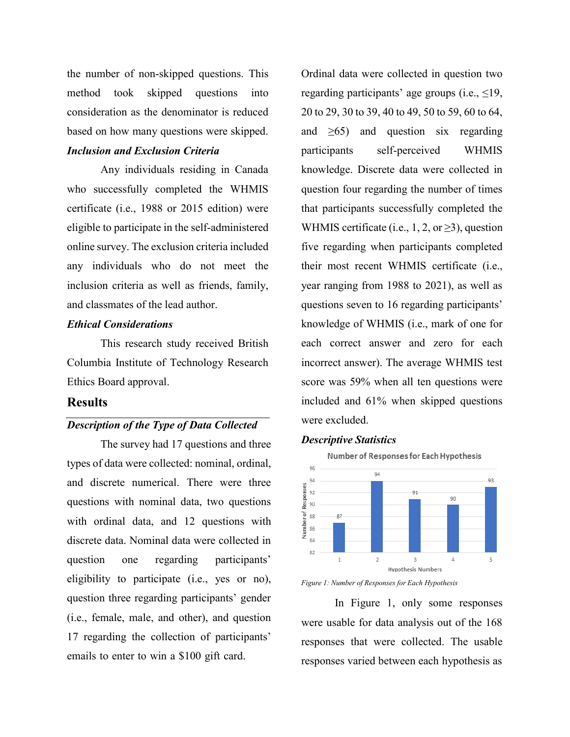the number of non-skipped questions. This method took skipped questions into consideration as the denominator is reduced based on how many questions were skipped.

### *Inclusion and Exclusion Criteria*

Any individuals residing in Canada who successfully completed the WHMIS certificate (i.e., 1988 or 2015 edition) were eligible to participate in the self-administered online survey. The exclusion criteria included any individuals who do not meet the inclusion criteria as well as friends, family, and classmates of the lead author.

### *Ethical Considerations*

This research study received British Columbia Institute of Technology Research Ethics Board approval.

#### **Results**

## *Description of the Type of Data Collected*

The survey had 17 questions and three types of data were collected: nominal, ordinal, and discrete numerical. There were three questions with nominal data, two questions with ordinal data, and 12 questions with discrete data. Nominal data were collected in question one regarding participants' eligibility to participate (i.e., yes or no), question three regarding participants' gender (i.e., female, male, and other), and question 17 regarding the collection of participants' emails to enter to win a \$100 gift card.

Ordinal data were collected in question two regarding participants' age groups (i.e.,  $\leq$ 19, 20 to 29, 30 to 39, 40 to 49, 50 to 59, 60 to 64, and  $\geq 65$ ) and question six regarding participants self-perceived WHMIS knowledge. Discrete data were collected in question four regarding the number of times that participants successfully completed the WHMIS certificate (i.e., 1, 2, or  $\geq$ 3), question five regarding when participants completed their most recent WHMIS certificate (i.e., year ranging from 1988 to 2021), as well as questions seven to 16 regarding participants' knowledge of WHMIS (i.e., mark of one for each correct answer and zero for each incorrect answer). The average WHMIS test score was 59% when all ten questions were included and 61% when skipped questions were excluded.

#### *Descriptive Statistics*



*Figure 1: Number of Responses for Each Hypothesis*

In Figure 1, only some responses were usable for data analysis out of the 168 responses that were collected. The usable responses varied between each hypothesis as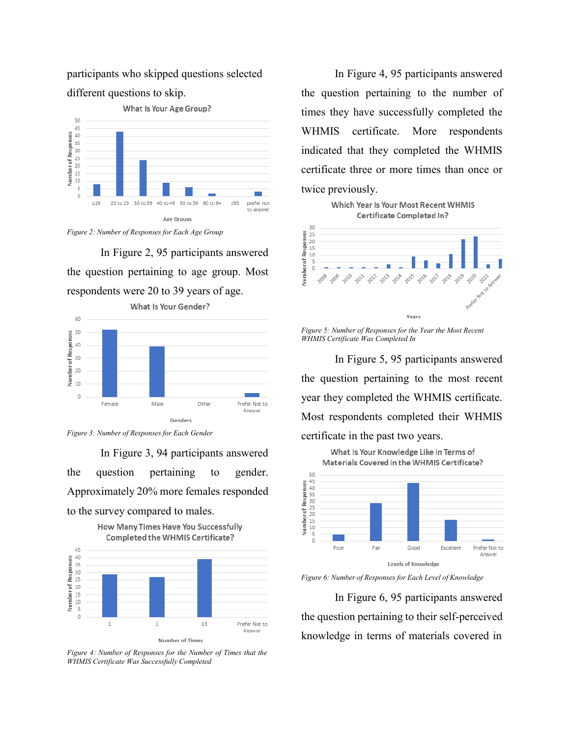participants who skipped questions selected different questions to skip.



*Figure 2: Number of Responses for Each Age Group*

In Figure 2, 95 participants answered the question pertaining to age group. Most respondents were 20 to 39 years of age.



*Figure 3: Number of Responses for Each Gender*

In Figure 3, 94 participants answered the question pertaining to gender. Approximately 20% more females responded to the survey compared to males.



*Figure 4: Number of Responses for the Number of Times that the WHMIS Certificate Was Successfully Completed*

In Figure 4, 95 participants answered the question pertaining to the number of times they have successfully completed the WHMIS certificate. More respondents indicated that they completed the WHMIS certificate three or more times than once or twice previously.



*Figure 5: Number of Responses for the Year the Most Recent WHMIS Certificate Was Completed In*

In Figure 5, 95 participants answered the question pertaining to the most recent year they completed the WHMIS certificate. Most respondents completed their WHMIS certificate in the past two years.



*Figure 6: Number of Responses for Each Level of Knowledge*

In Figure 6, 95 participants answered the question pertaining to their self-perceived knowledge in terms of materials covered in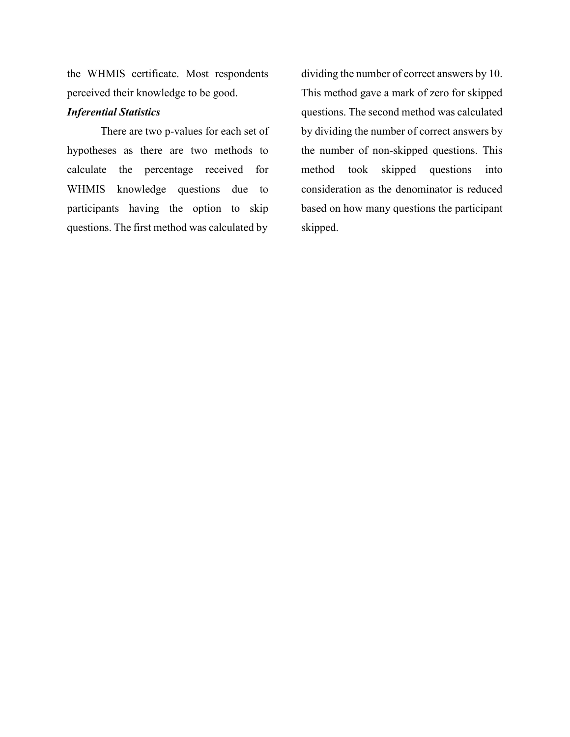the WHMIS certificate. Most respondents perceived their knowledge to be good.

### *Inferential Statistics*

There are two p-values for each set of hypotheses as there are two methods to calculate the percentage received for WHMIS knowledge questions due to participants having the option to skip questions. The first method was calculated by

dividing the number of correct answers by 10. This method gave a mark of zero for skipped questions. The second method was calculated by dividing the number of correct answers by the number of non-skipped questions. This method took skipped questions into consideration as the denominator is reduced based on how many questions the participant skipped.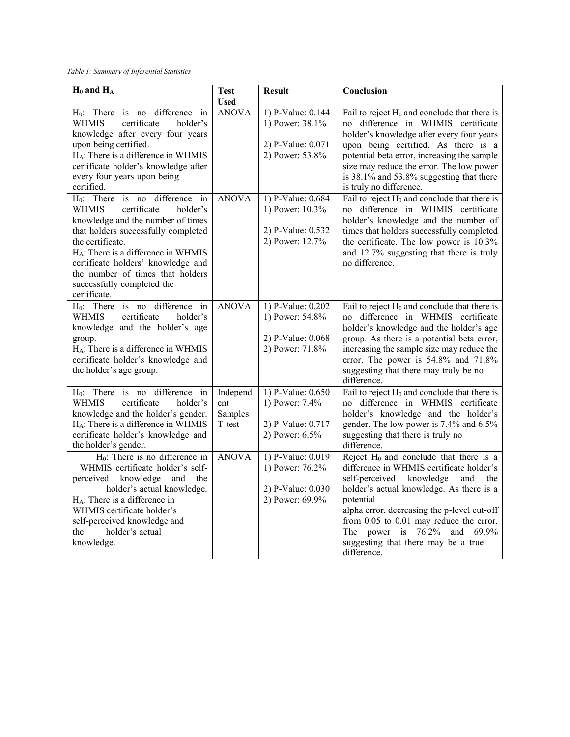*Table 1: Summary of Inferential Statistics*

| $H_0$ and $H_A$                                                                                 | <b>Test</b>  | <b>Result</b>                          | Conclusion                                                                            |
|-------------------------------------------------------------------------------------------------|--------------|----------------------------------------|---------------------------------------------------------------------------------------|
|                                                                                                 | <b>Used</b>  |                                        |                                                                                       |
| H <sub>0</sub> : There is no difference<br>$\dot{m}$<br><b>WHMIS</b><br>certificate<br>holder's | <b>ANOVA</b> | 1) P-Value: $0.144$<br>1) Power: 38.1% | Fail to reject $H_0$ and conclude that there is<br>no difference in WHMIS certificate |
| knowledge after every four years                                                                |              |                                        | holder's knowledge after every four years                                             |
| upon being certified.                                                                           |              | 2) P-Value: 0.071                      | upon being certified. As there is a                                                   |
| H <sub>A</sub> : There is a difference in WHMIS                                                 |              | 2) Power: 53.8%                        | potential beta error, increasing the sample                                           |
| certificate holder's knowledge after                                                            |              |                                        | size may reduce the error. The low power                                              |
| every four years upon being                                                                     |              |                                        | is 38.1% and 53.8% suggesting that there                                              |
| certified.                                                                                      |              |                                        | is truly no difference.                                                               |
| H <sub>0</sub> : There is no difference in                                                      | <b>ANOVA</b> | 1) P-Value: 0.684                      | Fail to reject $H_0$ and conclude that there is                                       |
| <b>WHMIS</b><br>certificate<br>holder's                                                         |              | 1) Power: 10.3%                        | no difference in WHMIS certificate                                                    |
| knowledge and the number of times                                                               |              |                                        | holder's knowledge and the number of                                                  |
| that holders successfully completed<br>the certificate.                                         |              | 2) P-Value: 0.532                      | times that holders successfully completed                                             |
| $H_A$ : There is a difference in WHMIS                                                          |              | 2) Power: 12.7%                        | the certificate. The low power is 10.3%<br>and 12.7% suggesting that there is truly   |
| certificate holders' knowledge and                                                              |              |                                        | no difference.                                                                        |
| the number of times that holders                                                                |              |                                        |                                                                                       |
| successfully completed the                                                                      |              |                                        |                                                                                       |
| certificate.                                                                                    |              |                                        |                                                                                       |
| $H_0$ : There is no difference in                                                               | <b>ANOVA</b> | 1) P-Value: $0.202$                    | Fail to reject $H_0$ and conclude that there is                                       |
| certificate<br><b>WHMIS</b><br>holder's                                                         |              | 1) Power: 54.8%                        | no difference in WHMIS certificate                                                    |
| knowledge and the holder's age                                                                  |              |                                        | holder's knowledge and the holder's age                                               |
| group.                                                                                          |              | 2) P-Value: 0.068                      | group. As there is a potential beta error,                                            |
| $H_A$ : There is a difference in WHMIS<br>certificate holder's knowledge and                    |              | 2) Power: 71.8%                        | increasing the sample size may reduce the<br>error. The power is 54.8% and 71.8%      |
| the holder's age group.                                                                         |              |                                        | suggesting that there may truly be no                                                 |
|                                                                                                 |              |                                        | difference.                                                                           |
| $H_0$ : There is no difference in                                                               | Independ     | 1) P-Value: 0.650                      | Fail to reject $H_0$ and conclude that there is                                       |
| certificate<br><b>WHMIS</b><br>holder's                                                         | ent          | 1) Power: 7.4%                         | no difference in WHMIS certificate                                                    |
| knowledge and the holder's gender.                                                              | Samples      |                                        | holder's knowledge and the holder's                                                   |
| H <sub>A</sub> : There is a difference in WHMIS                                                 | T-test       | 2) P-Value: 0.717                      | gender. The low power is 7.4% and 6.5%                                                |
| certificate holder's knowledge and<br>the holder's gender.                                      |              | 2) Power: 6.5%                         | suggesting that there is truly no<br>difference.                                      |
| $H0$ : There is no difference in                                                                | <b>ANOVA</b> | 1) P-Value: 0.019                      | Reject $H_0$ and conclude that there is a                                             |
| WHMIS certificate holder's self-                                                                |              | 1) Power: 76.2%                        | difference in WHMIS certificate holder's                                              |
| perceived<br>knowledge<br>and<br>the                                                            |              |                                        | knowledge<br>self-perceived<br>and<br>the                                             |
| holder's actual knowledge.                                                                      |              | 2) P-Value: 0.030                      | holder's actual knowledge. As there is a                                              |
| $H_A$ : There is a difference in                                                                |              | 2) Power: 69.9%                        | potential                                                                             |
| WHMIS certificate holder's                                                                      |              |                                        | alpha error, decreasing the p-level cut-off                                           |
| self-perceived knowledge and                                                                    |              |                                        | from 0.05 to 0.01 may reduce the error.                                               |
| holder's actual<br>the                                                                          |              |                                        | The power is $76.2\%$ and $69.9\%$                                                    |
| knowledge.                                                                                      |              |                                        | suggesting that there may be a true<br>difference.                                    |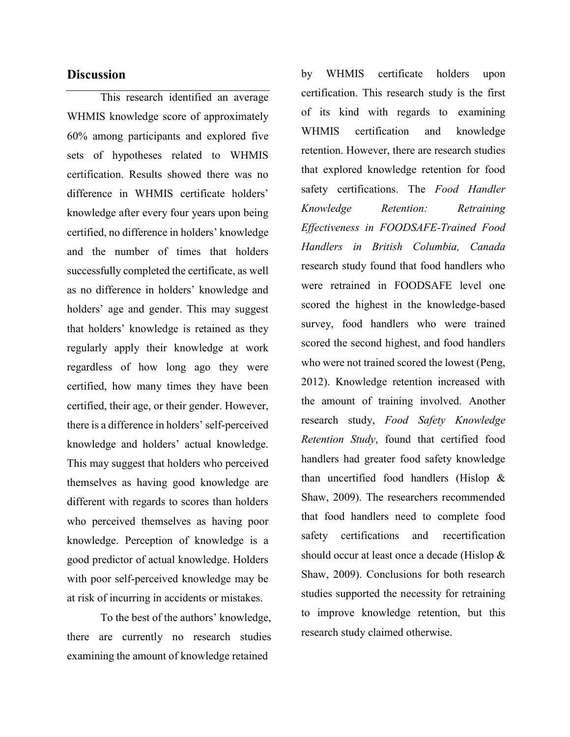# **Discussion**

This research identified an average WHMIS knowledge score of approximately 60% among participants and explored five sets of hypotheses related to WHMIS certification. Results showed there was no difference in WHMIS certificate holders' knowledge after every four years upon being certified, no difference in holders' knowledge and the number of times that holders successfully completed the certificate, as well as no difference in holders' knowledge and holders' age and gender. This may suggest that holders' knowledge is retained as they regularly apply their knowledge at work regardless of how long ago they were certified, how many times they have been certified, their age, or their gender. However, there is a difference in holders' self-perceived knowledge and holders' actual knowledge. This may suggest that holders who perceived themselves as having good knowledge are different with regards to scores than holders who perceived themselves as having poor knowledge. Perception of knowledge is a good predictor of actual knowledge. Holders with poor self-perceived knowledge may be at risk of incurring in accidents or mistakes.

To the best of the authors' knowledge, there are currently no research studies examining the amount of knowledge retained

by WHMIS certificate holders upon certification. This research study is the first of its kind with regards to examining WHMIS certification and knowledge retention. However, there are research studies that explored knowledge retention for food safety certifications. The *Food Handler Knowledge Retention: Retraining Effectiveness in FOODSAFE-Trained Food Handlers in British Columbia, Canada* research study found that food handlers who were retrained in FOODSAFE level one scored the highest in the knowledge-based survey, food handlers who were trained scored the second highest, and food handlers who were not trained scored the lowest (Peng, 2012). Knowledge retention increased with the amount of training involved. Another research study, *Food Safety Knowledge Retention Study*, found that certified food handlers had greater food safety knowledge than uncertified food handlers (Hislop & Shaw, 2009). The researchers recommended that food handlers need to complete food safety certifications and recertification should occur at least once a decade (Hislop & Shaw, 2009). Conclusions for both research studies supported the necessity for retraining to improve knowledge retention, but this research study claimed otherwise.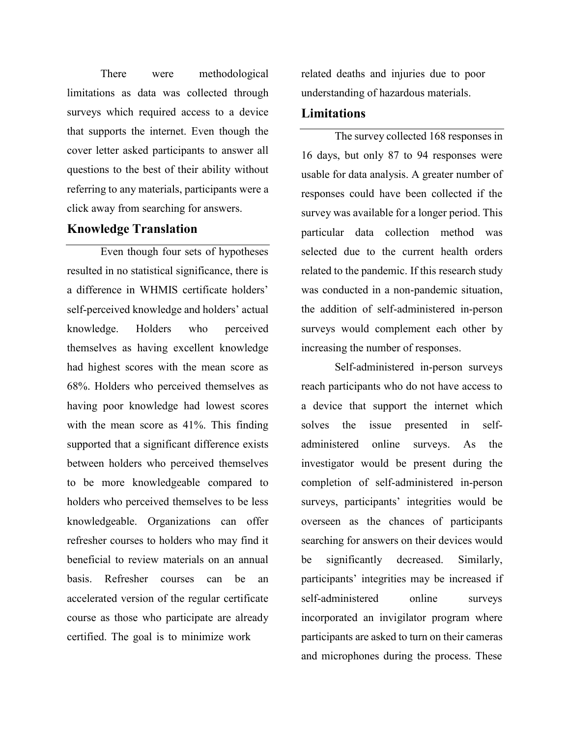There were methodological limitations as data was collected through surveys which required access to a device that supports the internet. Even though the cover letter asked participants to answer all questions to the best of their ability without referring to any materials, participants were a click away from searching for answers.

## **Knowledge Translation**

Even though four sets of hypotheses resulted in no statistical significance, there is a difference in WHMIS certificate holders' self-perceived knowledge and holders' actual knowledge. Holders who perceived themselves as having excellent knowledge had highest scores with the mean score as 68%. Holders who perceived themselves as having poor knowledge had lowest scores with the mean score as 41%. This finding supported that a significant difference exists between holders who perceived themselves to be more knowledgeable compared to holders who perceived themselves to be less knowledgeable. Organizations can offer refresher courses to holders who may find it beneficial to review materials on an annual basis. Refresher courses can be an accelerated version of the regular certificate course as those who participate are already certified. The goal is to minimize work

related deaths and injuries due to poor understanding of hazardous materials.

### **Limitations**

The survey collected 168 responses in 16 days, but only 87 to 94 responses were usable for data analysis. A greater number of responses could have been collected if the survey was available for a longer period. This particular data collection method was selected due to the current health orders related to the pandemic. If this research study was conducted in a non-pandemic situation, the addition of self-administered in-person surveys would complement each other by increasing the number of responses.

Self-administered in-person surveys reach participants who do not have access to a device that support the internet which solves the issue presented in selfadministered online surveys. As the investigator would be present during the completion of self-administered in-person surveys, participants' integrities would be overseen as the chances of participants searching for answers on their devices would be significantly decreased. Similarly, participants' integrities may be increased if self-administered online surveys incorporated an invigilator program where participants are asked to turn on their cameras and microphones during the process. These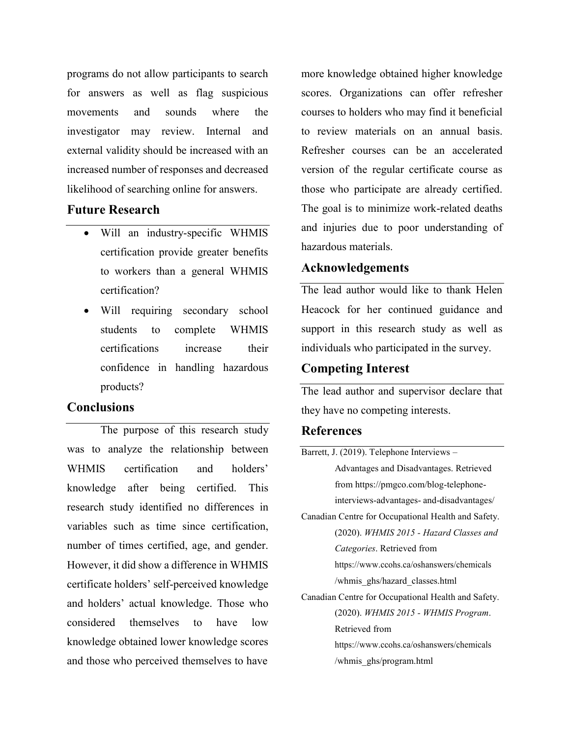programs do not allow participants to search for answers as well as flag suspicious movements and sounds where the investigator may review. Internal and external validity should be increased with an increased number of responses and decreased likelihood of searching online for answers.

### **Future Research**

- Will an industry-specific WHMIS certification provide greater benefits to workers than a general WHMIS certification?
- Will requiring secondary school students to complete WHMIS certifications increase their confidence in handling hazardous products?

# **Conclusions**

The purpose of this research study was to analyze the relationship between WHMIS certification and holders' knowledge after being certified. This research study identified no differences in variables such as time since certification, number of times certified, age, and gender. However, it did show a difference in WHMIS certificate holders' self-perceived knowledge and holders' actual knowledge. Those who considered themselves to have low knowledge obtained lower knowledge scores and those who perceived themselves to have

more knowledge obtained higher knowledge scores. Organizations can offer refresher courses to holders who may find it beneficial to review materials on an annual basis. Refresher courses can be an accelerated version of the regular certificate course as those who participate are already certified. The goal is to minimize work-related deaths and injuries due to poor understanding of hazardous materials.

### **Acknowledgements**

The lead author would like to thank Helen Heacock for her continued guidance and support in this research study as well as individuals who participated in the survey.

## **Competing Interest**

The lead author and supervisor declare that they have no competing interests.

## **References**

| Barrett, J. (2019). Telephone Interviews -          |  |  |
|-----------------------------------------------------|--|--|
| Advantages and Disadvantages. Retrieved             |  |  |
| from https://pmgco.com/blog-telephone-              |  |  |
| interviews-advantages- and-disadvantages/           |  |  |
| Canadian Centre for Occupational Health and Safety. |  |  |
| (2020). WHMIS 2015 - Hazard Classes and             |  |  |
| <i>Categories.</i> Retrieved from                   |  |  |
| https://www.ccohs.ca/oshanswers/chemicals           |  |  |
| /whmis ghs/hazard classes.html                      |  |  |
| Canadian Centre for Occupational Health and Safety. |  |  |
| (2020). WHMIS 2015 - WHMIS Program.                 |  |  |
| Retrieved from                                      |  |  |
| https://www.ccohs.ca/oshanswers/chemicals           |  |  |
| /whmis ghs/program.html                             |  |  |
|                                                     |  |  |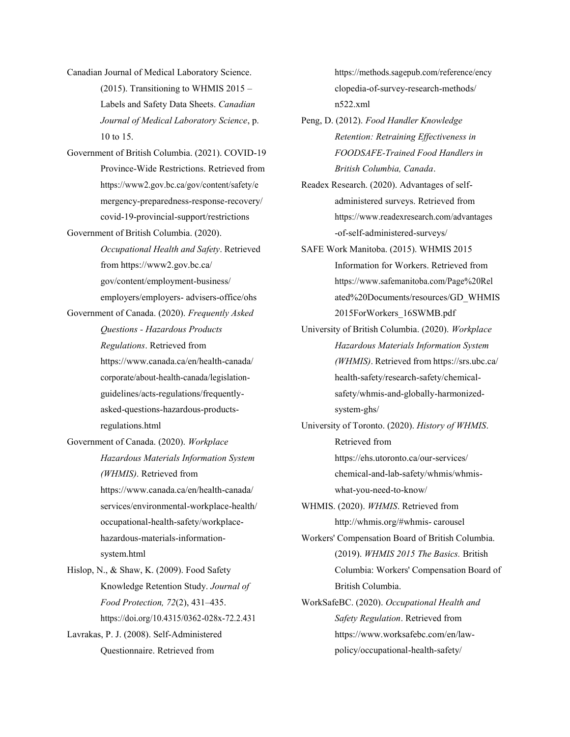- Canadian Journal of Medical Laboratory Science.  $(2015)$ . Transitioning to WHMIS 2015 – Labels and Safety Data Sheets. *Canadian Journal of Medical Laboratory Science*, p. 10 to 15.
- Government of British Columbia. (2021). COVID-19 Province-Wide Restrictions. Retrieved from https://www2.gov.bc.ca/gov/content/safety/e mergency-preparedness-response-recovery/ covid-19-provincial-support/restrictions
- Government of British Columbia. (2020). *Occupational Health and Safety*. Retrieved from https://www2.gov.bc.ca/ gov/content/employment-business/ employers/employers- advisers-office/ohs
- Government of Canada. (2020). *Frequently Asked Questions - Hazardous Products Regulations*. Retrieved from https:/[/www.canada.ca/en/health-canada/](http://www.canada.ca/en/health-canada/) corporate/about-health-canada/legislationguidelines/acts-regulations/frequentlyasked-questions-hazardous-productsregulations.html
- Government of Canada. (2020). *Workplace Hazardous Materials Information System (WHMIS)*. Retrieved from http[s://www.c](http://www.canada.ca/en/health-canada/)a[nada.ca/en/health-canada/](http://www.canada.ca/en/health-canada/) services/environmental-workplace-health/ occupational-health-safety/workplace-

hazardous-materials-informationsystem.html

Hislop, N., & Shaw, K. (2009). Food Safety Knowledge Retention Study. *Journal of Food Protection, 72*(2), 431–435. https://doi.org/10.4315/0362-028x-72.2.431

Lavrakas, P. J. (2008). Self-Administered Questionnaire. Retrieved from

https://methods.sagepub.com/reference/ency clopedia-of-survey-research-methods/ n522.xml

- Peng, D. (2012). *Food Handler Knowledge Retention: Retraining Effectiveness in FOODSAFE-Trained Food Handlers in British Columbia, Canada*.
- Readex Research. (2020). Advantages of selfadministered surveys. Retrieved from https:/[/www.readexresearch.com/advantages](http://www.readexresearch.com/advantages) -of-self-administered-surveys/
- SAFE Work Manitoba. (2015). WHMIS 2015 Information for Workers. Retrieved from https:/[/www.safemanitoba.com/Page%20Rel](http://www.safemanitoba.com/Page%20Rel) ated%20Documents/resources/GD\_WHMIS 2015ForWorkers\_16SWMB.pdf
- University of British Columbia. (2020). *Workplace Hazardous Materials Information System (WHMIS)*. Retrieved from https://srs.ubc.ca/ health-safety/research-safety/chemicalsafety/whmis-and-globally-harmonizedsystem-ghs/
- University of Toronto. (2020). *History of WHMIS*. Retrieved from https://ehs.utoronto.ca/our-services/ chemical-and-lab-safety/whmis/whmiswhat-you-need-to-know/ WHMIS. (2020). *WHMIS*. Retrieved from

<http://whmis.org/#whmis-> carousel

- Workers' Compensation Board of British Columbia. (2019). *WHMIS 2015 The Basics.* British Columbia: Workers' Compensation Board of British Columbia.
- WorkSafeBC. (2020). *Occupational Health and Safety Regulation*. Retrieved from https:/[/www.worksafebc.com/en/law](http://www.worksafebc.com/en/law-)policy/occupational-health-safety/